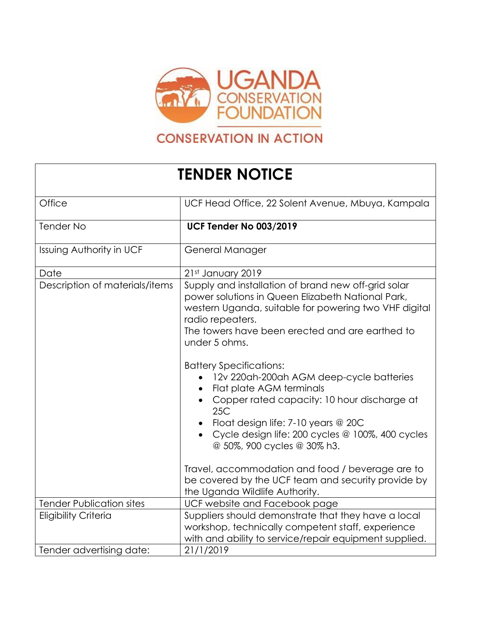

## **CONSERVATION IN ACTION**

## **TENDER NOTICE**

| Office                          | UCF Head Office, 22 Solent Avenue, Mbuya, Kampala                                                                                                                                                                                                                                                                                                                                                                                                                                                                                                                                                                                                             |
|---------------------------------|---------------------------------------------------------------------------------------------------------------------------------------------------------------------------------------------------------------------------------------------------------------------------------------------------------------------------------------------------------------------------------------------------------------------------------------------------------------------------------------------------------------------------------------------------------------------------------------------------------------------------------------------------------------|
| <b>Tender No</b>                | <b>UCF Tender No 003/2019</b>                                                                                                                                                                                                                                                                                                                                                                                                                                                                                                                                                                                                                                 |
| <b>Issuing Authority in UCF</b> | General Manager                                                                                                                                                                                                                                                                                                                                                                                                                                                                                                                                                                                                                                               |
| Date                            | 21st January 2019                                                                                                                                                                                                                                                                                                                                                                                                                                                                                                                                                                                                                                             |
| Description of materials/items  | Supply and installation of brand new off-grid solar<br>power solutions in Queen Elizabeth National Park,<br>western Uganda, suitable for powering two VHF digital<br>radio repeaters.<br>The towers have been erected and are earthed to<br>under 5 ohms.<br><b>Battery Specifications:</b><br>12v 220ah-200ah AGM deep-cycle batteries<br>Flat plate AGM terminals<br>Copper rated capacity: 10 hour discharge at<br>25C<br>Float design life: 7-10 years @ 20C<br>Cycle design life: 200 cycles @ 100%, 400 cycles<br>@ 50%, 900 cycles @ 30% h3.<br>Travel, accommodation and food / beverage are to<br>be covered by the UCF team and security provide by |
| <b>Tender Publication sites</b> | the Uganda Wildlife Authority.<br>UCF website and Facebook page                                                                                                                                                                                                                                                                                                                                                                                                                                                                                                                                                                                               |
| <b>Eligibility Criteria</b>     | Suppliers should demonstrate that they have a local<br>workshop, technically competent staff, experience<br>with and ability to service/repair equipment supplied.                                                                                                                                                                                                                                                                                                                                                                                                                                                                                            |
| Tender advertising date:        | 21/1/2019                                                                                                                                                                                                                                                                                                                                                                                                                                                                                                                                                                                                                                                     |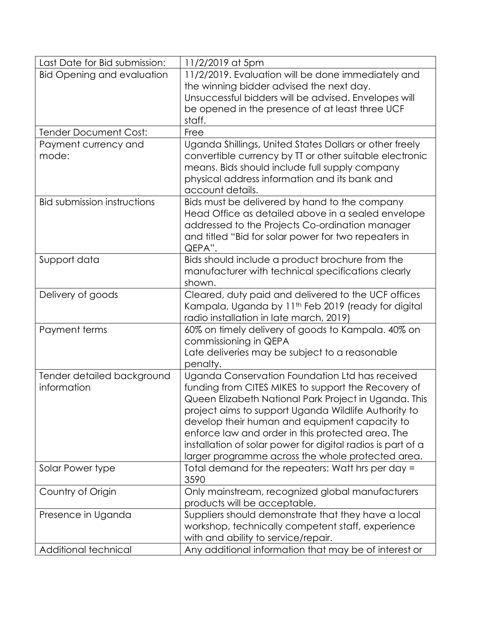| Last Date for Bid submission:      | 11/2/2019 at 5pm                                                                                                                                                                                                                                                                                                                                                                               |
|------------------------------------|------------------------------------------------------------------------------------------------------------------------------------------------------------------------------------------------------------------------------------------------------------------------------------------------------------------------------------------------------------------------------------------------|
| <b>Bid Opening and evaluation</b>  | 11/2/2019. Evaluation will be done immediately and                                                                                                                                                                                                                                                                                                                                             |
|                                    | the winning bidder advised the next day.                                                                                                                                                                                                                                                                                                                                                       |
|                                    | Unsuccessful bidders will be advised. Envelopes will                                                                                                                                                                                                                                                                                                                                           |
|                                    | be opened in the presence of at least three UCF                                                                                                                                                                                                                                                                                                                                                |
|                                    | staff.                                                                                                                                                                                                                                                                                                                                                                                         |
| <b>Tender Document Cost:</b>       | Free                                                                                                                                                                                                                                                                                                                                                                                           |
| Payment currency and<br>mode:      | Uganda Shillings, United States Dollars or other freely<br>convertible currency by TT or other suitable electronic<br>means. Bids should include full supply company<br>physical address information and its bank and<br>account details.                                                                                                                                                      |
| <b>Bid submission instructions</b> | Bids must be delivered by hand to the company<br>Head Office as detailed above in a sealed envelope<br>addressed to the Projects Co-ordination manager<br>and titled "Bid for solar power for two repeaters in<br>QEPA".                                                                                                                                                                       |
| Support data                       | Bids should include a product brochure from the<br>manufacturer with technical specifications clearly<br>shown.                                                                                                                                                                                                                                                                                |
| Delivery of goods                  | Cleared, duty paid and delivered to the UCF offices<br>Kampala, Uganda by 11 <sup>th</sup> Feb 2019 (ready for digital<br>radio installation in late march, 2019)                                                                                                                                                                                                                              |
| Payment terms                      | 60% on timely delivery of goods to Kampala. 40% on<br>commissioning in QEPA<br>Late deliveries may be subject to a reasonable                                                                                                                                                                                                                                                                  |
| Tender detailed background         | penalty.<br>Uganda Conservation Foundation Ltd has received                                                                                                                                                                                                                                                                                                                                    |
| information                        | funding from CITES MIKES to support the Recovery of<br>Queen Elizabeth National Park Project in Uganda. This<br>project aims to support Uganda Wildlife Authority to<br>develop their human and equipment capacity to<br>enforce law and order in this protected area. The<br>installation of solar power for digital radios is part of a<br>larger programme across the whole protected area. |
| Solar Power type                   | Total demand for the repeaters: Watt hrs per day =<br>3590                                                                                                                                                                                                                                                                                                                                     |
| Country of Origin                  | Only mainstream, recognized global manufacturers<br>products will be acceptable.                                                                                                                                                                                                                                                                                                               |
| Presence in Uganda                 | Suppliers should demonstrate that they have a local<br>workshop, technically competent staff, experience<br>with and ability to service/repair.                                                                                                                                                                                                                                                |
| Additional technical               | Any additional information that may be of interest or                                                                                                                                                                                                                                                                                                                                          |